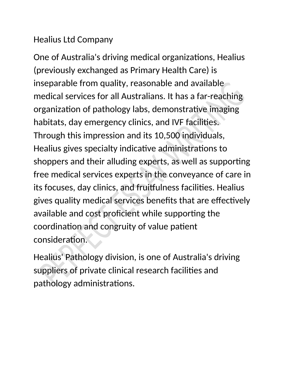## Healius Ltd Company

One of Australia's driving medical organizations, Healius (previously exchanged as Primary Health Care) is inseparable from quality, reasonable and available medical services for all Australians. It has a far-reaching organization of pathology labs, demonstrative imaging habitats, day emergency clinics, and IVF facilities. Through this impression and its 10,500 individuals, Healius gives specialty indicative administrations to shoppers and their alluding experts, as well as supporting free medical services experts in the conveyance of care in its focuses, day clinics, and fruitfulness facilities. Healius gives quality medical services benefits that are effectively available and cost proficient while supporting the coordination and congruity of value patient consideration.

Healius' Pathology division, is one of Australia's driving suppliers of private clinical research facilities and pathology administrations.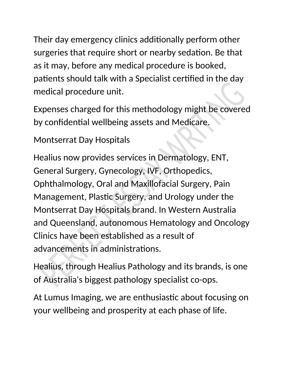Their day emergency clinics additionally perform other surgeries that require short or nearby sedation. Be that as it may, before any medical procedure is booked, patients should talk with a Specialist certified in the day medical procedure unit.

Expenses charged for this methodology might be covered by confidential wellbeing assets and Medicare.

Montserrat Day Hospitals

Healius now provides services in Dermatology, ENT, General Surgery, Gynecology, IVF, Orthopedics, Ophthalmology, Oral and Maxillofacial Surgery, Pain Management, Plastic Surgery, and Urology under the Montserrat Day Hospitals brand. In Western Australia and Queensland, autonomous Hematology and Oncology Clinics have been established as a result of advancements in administrations.

Healius, through Healius Pathology and its brands, is one of Australia's biggest pathology specialist co-ops.

At Lumus Imaging, we are enthusiastic about focusing on your wellbeing and prosperity at each phase of life.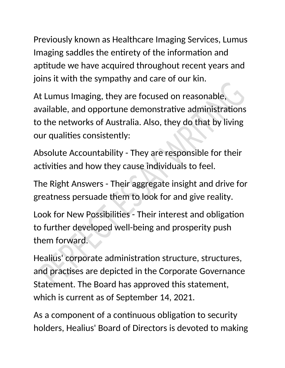Previously known as Healthcare Imaging Services, Lumus Imaging saddles the entirety of the information and aptitude we have acquired throughout recent years and joins it with the sympathy and care of our kin.

At Lumus Imaging, they are focused on reasonable, available, and opportune demonstrative administrations to the networks of Australia. Also, they do that by living our qualities consistently:

Absolute Accountability - They are responsible for their activities and how they cause individuals to feel.

The Right Answers - Their aggregate insight and drive for greatness persuade them to look for and give reality.

Look for New Possibilities - Their interest and obligation to further developed well-being and prosperity push them forward.

Healius' corporate administration structure, structures, and practises are depicted in the Corporate Governance Statement. The Board has approved this statement, which is current as of September 14, 2021.

As a component of a continuous obligation to security holders, Healius' Board of Directors is devoted to making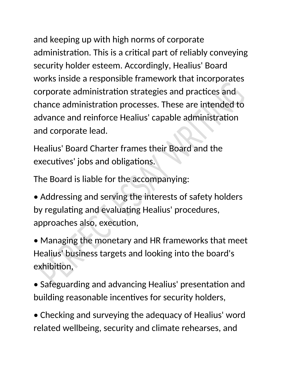and keeping up with high norms of corporate administration. This is a critical part of reliably conveying security holder esteem. Accordingly, Healius' Board works inside a responsible framework that incorporates corporate administration strategies and practices and chance administration processes. These are intended to advance and reinforce Healius' capable administration and corporate lead.

Healius' Board Charter frames their Board and the executives' jobs and obligations.

The Board is liable for the accompanying:

• Addressing and serving the interests of safety holders by regulating and evaluating Healius' procedures, approaches also, execution,

• Managing the monetary and HR frameworks that meet Healius' business targets and looking into the board's exhibition,

• Safeguarding and advancing Healius' presentation and building reasonable incentives for security holders,

• Checking and surveying the adequacy of Healius' word related wellbeing, security and climate rehearses, and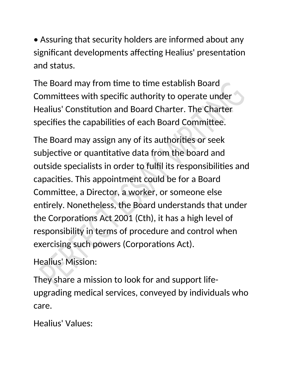• Assuring that security holders are informed about any significant developments affecting Healius' presentation and status.

The Board may from time to time establish Board Committees with specific authority to operate under Healius' Constitution and Board Charter. The Charter specifies the capabilities of each Board Committee.

The Board may assign any of its authorities or seek subjective or quantitative data from the board and outside specialists in order to fulfil its responsibilities and capacities. This appointment could be for a Board Committee, a Director, a worker, or someone else entirely. Nonetheless, the Board understands that under the Corporations Act 2001 (Cth), it has a high level of responsibility in terms of procedure and control when exercising such powers (Corporations Act).

Healius' Mission:

They share a mission to look for and support lifeupgrading medical services, conveyed by individuals who care.

Healius' Values: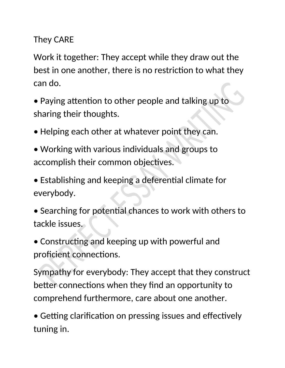## They CARE

Work it together: They accept while they draw out the best in one another, there is no restriction to what they can do.

- Paying attention to other people and talking up to sharing their thoughts.
- Helping each other at whatever point they can.
- Working with various individuals and groups to accomplish their common objectives.
- Establishing and keeping a deferential climate for everybody.
- Searching for potential chances to work with others to tackle issues.
- Constructing and keeping up with powerful and proficient connections.

Sympathy for everybody: They accept that they construct better connections when they find an opportunity to comprehend furthermore, care about one another.

• Getting clarification on pressing issues and effectively tuning in.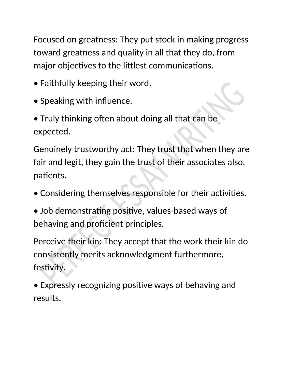Focused on greatness: They put stock in making progress toward greatness and quality in all that they do, from major objectives to the littlest communications.

- Faithfully keeping their word.
- Speaking with influence.
- Truly thinking often about doing all that can be expected.

Genuinely trustworthy act: They trust that when they are fair and legit, they gain the trust of their associates also, patients.

- Considering themselves responsible for their activities.
- Job demonstrating positive, values-based ways of behaving and proficient principles.

Perceive their kin: They accept that the work their kin do consistently merits acknowledgment furthermore, festivity.

• Expressly recognizing positive ways of behaving and results.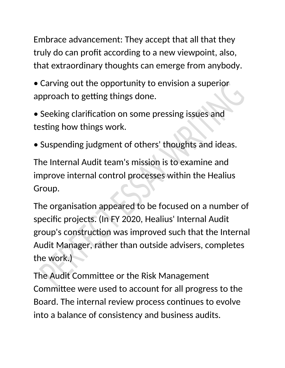Embrace advancement: They accept that all that they truly do can profit according to a new viewpoint, also, that extraordinary thoughts can emerge from anybody.

- Carving out the opportunity to envision a superior approach to getting things done.
- Seeking clarification on some pressing issues and testing how things work.
- Suspending judgment of others' thoughts and ideas.

The Internal Audit team's mission is to examine and improve internal control processes within the Healius Group.

The organisation appeared to be focused on a number of specific projects. (In FY 2020, Healius' Internal Audit group's construction was improved such that the Internal Audit Manager, rather than outside advisers, completes the work.)

The Audit Committee or the Risk Management Committee were used to account for all progress to the Board. The internal review process continues to evolve into a balance of consistency and business audits.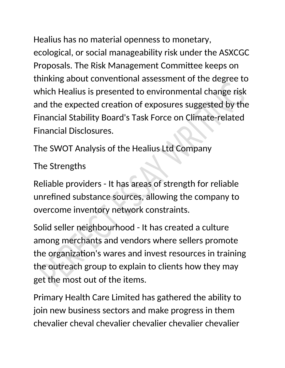Healius has no material openness to monetary, ecological, or social manageability risk under the ASXCGC Proposals. The Risk Management Committee keeps on thinking about conventional assessment of the degree to which Healius is presented to environmental change risk and the expected creation of exposures suggested by the Financial Stability Board's Task Force on Climate-related Financial Disclosures.

The SWOT Analysis of the Healius Ltd Company

The Strengths

Reliable providers - It has areas of strength for reliable unrefined substance sources, allowing the company to overcome inventory network constraints.

Solid seller neighbourhood - It has created a culture among merchants and vendors where sellers promote the organization's wares and invest resources in training the outreach group to explain to clients how they may get the most out of the items.

Primary Health Care Limited has gathered the ability to join new business sectors and make progress in them chevalier cheval chevalier chevalier chevalier chevalier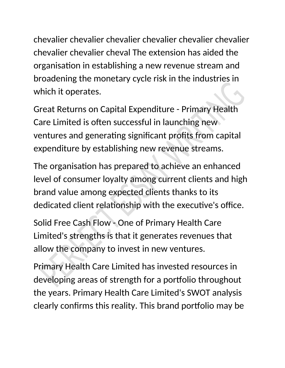chevalier chevalier chevalier chevalier chevalier chevalier chevalier chevalier cheval The extension has aided the organisation in establishing a new revenue stream and broadening the monetary cycle risk in the industries in which it operates.

Great Returns on Capital Expenditure - Primary Health Care Limited is often successful in launching new ventures and generating significant profits from capital expenditure by establishing new revenue streams.

The organisation has prepared to achieve an enhanced level of consumer loyalty among current clients and high brand value among expected clients thanks to its dedicated client relationship with the executive's office.

Solid Free Cash Flow - One of Primary Health Care Limited's strengths is that it generates revenues that allow the company to invest in new ventures.

Primary Health Care Limited has invested resources in developing areas of strength for a portfolio throughout the years. Primary Health Care Limited's SWOT analysis clearly confirms this reality. This brand portfolio may be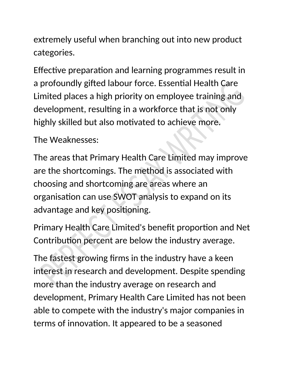extremely useful when branching out into new product categories.

Effective preparation and learning programmes result in a profoundly gifted labour force. Essential Health Care Limited places a high priority on employee training and development, resulting in a workforce that is not only highly skilled but also motivated to achieve more.

The Weaknesses:

The areas that Primary Health Care Limited may improve are the shortcomings. The method is associated with choosing and shortcoming are areas where an organisation can use SWOT analysis to expand on its advantage and key positioning.

Primary Health Care Limited's benefit proportion and Net Contribution percent are below the industry average.

The fastest growing firms in the industry have a keen interest in research and development. Despite spending more than the industry average on research and development, Primary Health Care Limited has not been able to compete with the industry's major companies in terms of innovation. It appeared to be a seasoned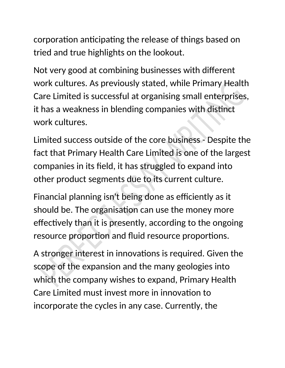corporation anticipating the release of things based on tried and true highlights on the lookout.

Not very good at combining businesses with different work cultures. As previously stated, while Primary Health Care Limited is successful at organising small enterprises, it has a weakness in blending companies with distinct work cultures.

Limited success outside of the core business - Despite the fact that Primary Health Care Limited is one of the largest companies in its field, it has struggled to expand into other product segments due to its current culture.

Financial planning isn't being done as efficiently as it should be. The organisation can use the money more effectively than it is presently, according to the ongoing resource proportion and fluid resource proportions.

A stronger interest in innovations is required. Given the scope of the expansion and the many geologies into which the company wishes to expand, Primary Health Care Limited must invest more in innovation to incorporate the cycles in any case. Currently, the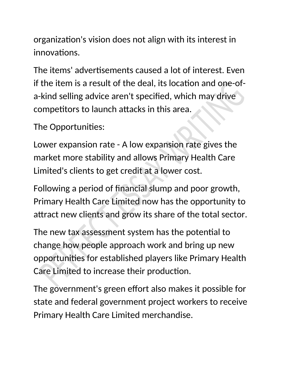organization's vision does not align with its interest in innovations.

The items' advertisements caused a lot of interest. Even if the item is a result of the deal, its location and one-ofa-kind selling advice aren't specified, which may drive competitors to launch attacks in this area.

The Opportunities:

Lower expansion rate - A low expansion rate gives the market more stability and allows Primary Health Care Limited's clients to get credit at a lower cost.

Following a period of financial slump and poor growth, Primary Health Care Limited now has the opportunity to attract new clients and grow its share of the total sector.

The new tax assessment system has the potential to change how people approach work and bring up new opportunities for established players like Primary Health Care Limited to increase their production.

The government's green effort also makes it possible for state and federal government project workers to receive Primary Health Care Limited merchandise.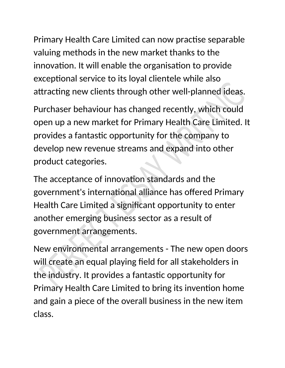Primary Health Care Limited can now practise separable valuing methods in the new market thanks to the innovation. It will enable the organisation to provide exceptional service to its loyal clientele while also attracting new clients through other well-planned ideas.

Purchaser behaviour has changed recently, which could open up a new market for Primary Health Care Limited. It provides a fantastic opportunity for the company to develop new revenue streams and expand into other product categories.

The acceptance of innovation standards and the government's international alliance has offered Primary Health Care Limited a significant opportunity to enter another emerging business sector as a result of government arrangements.

New environmental arrangements - The new open doors will create an equal playing field for all stakeholders in the industry. It provides a fantastic opportunity for Primary Health Care Limited to bring its invention home and gain a piece of the overall business in the new item class.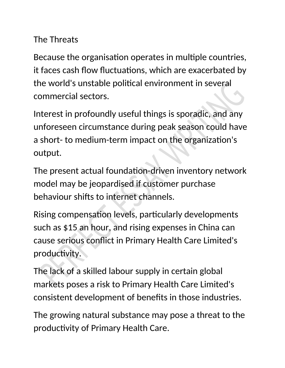## The Threats

Because the organisation operates in multiple countries, it faces cash flow fluctuations, which are exacerbated by the world's unstable political environment in several commercial sectors.

Interest in profoundly useful things is sporadic, and any unforeseen circumstance during peak season could have a short- to medium-term impact on the organization's output.

The present actual foundation-driven inventory network model may be jeopardised if customer purchase behaviour shifts to internet channels.

Rising compensation levels, particularly developments such as \$15 an hour, and rising expenses in China can cause serious conflict in Primary Health Care Limited's productivity.

The lack of a skilled labour supply in certain global markets poses a risk to Primary Health Care Limited's consistent development of benefits in those industries.

The growing natural substance may pose a threat to the productivity of Primary Health Care.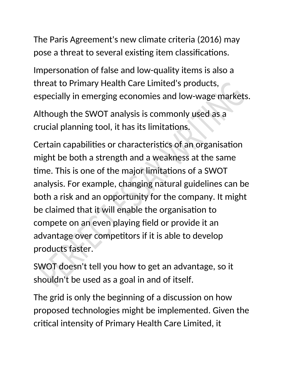The Paris Agreement's new climate criteria (2016) may pose a threat to several existing item classifications.

Impersonation of false and low-quality items is also a threat to Primary Health Care Limited's products, especially in emerging economies and low-wage markets.

Although the SWOT analysis is commonly used as a crucial planning tool, it has its limitations.

Certain capabilities or characteristics of an organisation might be both a strength and a weakness at the same time. This is one of the major limitations of a SWOT analysis. For example, changing natural guidelines can be both a risk and an opportunity for the company. It might be claimed that it will enable the organisation to compete on an even playing field or provide it an advantage over competitors if it is able to develop products faster.

SWOT doesn't tell you how to get an advantage, so it shouldn't be used as a goal in and of itself.

The grid is only the beginning of a discussion on how proposed technologies might be implemented. Given the critical intensity of Primary Health Care Limited, it